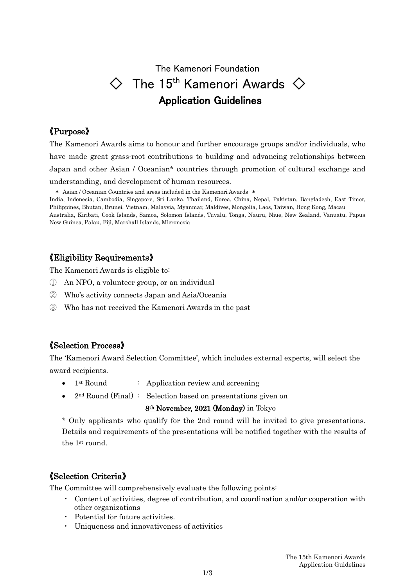# The Kamenori Foundation  $\diamondsuit$  The 15<sup>th</sup> Kamenori Awards  $\diamondsuit$ Application Guidelines

### 《Purpose》

The Kamenori Awards aims to honour and further encourage groups and/or individuals, who have made great grass-root contributions to building and advancing relationships between Japan and other Asian / Oceanian\* countries through promotion of cultural exchange and understanding, and development of human resources.

\* Asian / Oceanian Countries and areas included in the Kamenori Awards \*

India, Indonesia, Cambodia, Singapore, Sri Lanka, Thailand, Korea, China, Nepal, Pakistan, Bangladesh, East Timor, Philippines, Bhutan, Brunei, Vietnam, Malaysia, Myanmar, Maldives, Mongolia, Laos, Taiwan, Hong Kong, Macau Australia, Kiribati, Cook Islands, Samoa, Solomon Islands, Tuvalu, Tonga, Nauru, Niue, New Zealand, Vanuatu, Papua New Guinea, Palau, Fiji, Marshall Islands, Micronesia

### 《Eligibility Requirements》

The Kamenori Awards is eligible to:

- ① An NPO, a volunteer group, or an individual
- ② Who's activity connects Japan and Asia/Oceania
- ③ Who has not received the Kamenori Awards in the past

### 《Selection Process》

The 'Kamenori Award Selection Committee', which includes external experts, will select the award recipients.

- 1<sup>st</sup> Round : Application review and screening
- 2<sup>nd</sup> Round (Final): Selection based on presentations given on

### 8th November, 2021 (Monday) in Tokyo

\* Only applicants who qualify for the 2nd round will be invited to give presentations. Details and requirements of the presentations will be notified together with the results of the 1st round.

### 《Selection Criteria》

The Committee will comprehensively evaluate the following points:

- ・ Content of activities, degree of contribution, and coordination and/or cooperation with other organizations
- ・ Potential for future activities.
- ・ Uniqueness and innovativeness of activities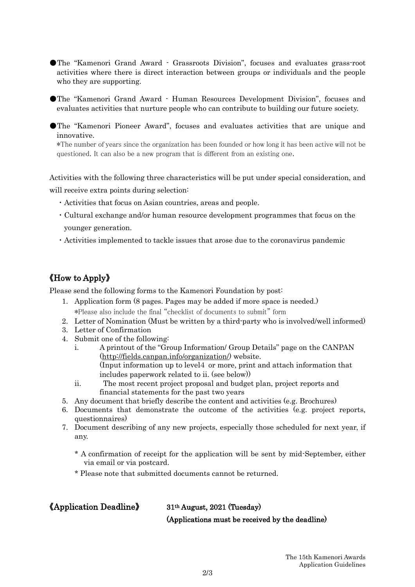- ●The "Kamenori Grand Award Grassroots Division", focuses and evaluates grass-root activities where there is direct interaction between groups or individuals and the people who they are supporting.
- ●The "Kamenori Grand Award Human Resources Development Division", focuses and evaluates activities that nurture people who can contribute to building our future society.
- ●The "Kamenori Pioneer Award", focuses and evaluates activities that are unique and innovative.

\*The number of years since the organization has been founded or how long it has been active will not be questioned. It can also be a new program that is different from an existing one.

Activities with the following three characteristics will be put under special consideration, and will receive extra points during selection:

- ・Activities that focus on Asian countries, areas and people.
- ・Cultural exchange and/or human resource development programmes that focus on the younger generation.
- ・Activities implemented to tackle issues that arose due to the coronavirus pandemic

## 《How to Apply》

Please send the following forms to the Kamenori Foundation by post:

- 1. Application form (8 pages. Pages may be added if more space is needed.) \*Please also include the final "checklist of documents to submit" form
- 2. Letter of Nomination (Must be written by a third-party who is involved/well informed)
- 3. Letter of Confirmation
- 4. Submit one of the following:
	- i. A printout of the "Group Information/ Group Details" page on the CANPAN [\(http://fields.canpan.info/organization/\)](http://fields.canpan.info/organization/) website. (Input information up to level4 or more, print and attach information that includes paperwork related to ii. (see below))
	- ii. The most recent project proposal and budget plan, project reports and financial statements for the past two years
- 5. Any document that briefly describe the content and activities (e.g. Brochures)
- 6. Documents that demonstrate the outcome of the activities (e.g. project reports, questionnaires)
- 7. Document describing of any new projects, especially those scheduled for next year, if any.
	- \* A confirmation of receipt for the application will be sent by mid-September, either via email or via postcard.
	- \* Please note that submitted documents cannot be returned.

### 《Application Deadline》 31th August, 2021 (Tuesday)

(Applications must be received by the deadline)